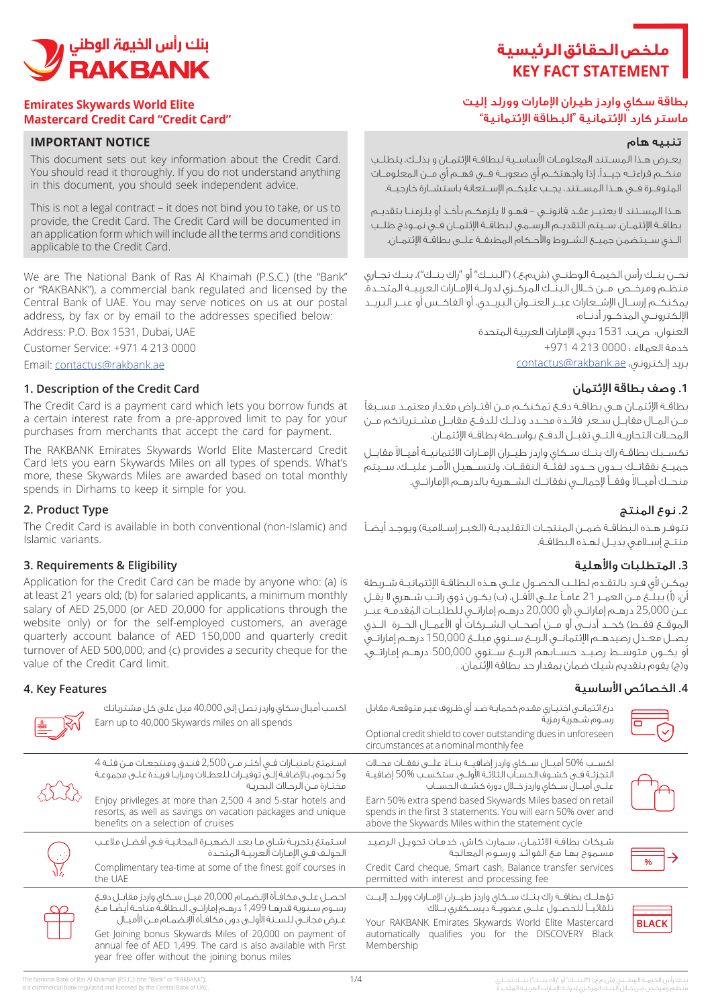# **ملخص الحقائق الرئيسية KEY FACT STATEMENT**

# بطاقة سكاي واردز طيران اإلمارات وورلد إليت ماستر كارد اإلئتمانية "البطاقة اإلئتمانية"

#### تنبيه هام

يعــرض هــذا المســتند المعلومــات األساســية لبطاقــة اإلئتمــان و بذلــك، يتطلــب منكــم قراءتــه جيــدًا. إذا واجهتكــم أي صعوبــة فــي فهــم أي مــن المعلومــات المتوفــرة فــي هــذا المســتند، يجــب عليكــم اإلســتعانة باستشــارة خارجيــة.

هــذا المســتند ال يعتبــر عقــد قانونــي – فهــو ال يلزمكــم بأخــذ أو يلزمنــا بتقديــم بطاقــة اإلئتمــان. ســيتم التقديــم الرســمي لبطاقــة اإلئتمــان فــي نمــوذج طلــب الــذي ســيتضمن جميــع الشــروط واألحــكام المطبقــة علــى بطاقــة اإلئتمــان.

نحــن بنــك رأس الخيمــة الوطنــى (ش.م.ع.) ("البنــك" أو "راك بنــك")، بنــك تجــاري منظــم ومرخــص مــن خــال البنــك المركــزي لدولــة اإلمــارات العربيــة المتحــدة. يمكنكــم إرســال اإلشــعارات عبــر العنــوان البريــدي، أو الفاكــس أو عبــر البريــد اإللكترونــي المذكــور أدنــاه:

> العنوان: ص.ب. 1531 دبي، اإلمارات العربية المتحدة خدمة العمالء : 0000 213 4 +971 بريد إلكتروني: contactus@rakbank.ae

#### **.1** وصف بطاقة اإلئتمان

بطاقـة اإلئتمـان هـي بطاقـة دفـع تمكنكـم مـن اقتـراض مقـدار معتمـد مسـبقًا مــن المــال مقابــل ســعر فائــدة محــدد وذلــك للدفــع مقابــل مشــترياتكم مــن المحــات التجاريــة التــي تقبــل الدفــع بواســطة بطاقــة اإلئتمــان.

نكســبك بطاقــة راك بنــك ســكاي واردز طيــران الإمــارات الائتمانيــة أميــالا مقابــل جميــع نفقاتــك بــدون حــدود لفئــة النفقــات. ولتســهيل األمــر عليــك، ســيتم منحــك أميــالا وفقــاً لإجمالــي نفقاتــك الشــهرية بالدرهــم الإماراتــي.

## **.2** نوع المنتج

تتوفـر هـذه البطاقـة ضمـن المنتجـات التقليديـة (الغيـر إسـلامية) ويوجـد أيضـاً منتـج إسـامي بديـل لهـذه البطاقـة.

## **.3** المتطلبات واألهلية

يمكـن ألي فـرد بالتقـدم لطلـب الحصـول علـى هـذه البطاقـة اإلئتمانيـة شـريطة أن: (أ) ببلـغ مـن العمـر 21 عامـاً علـى الأقـل، (ب) بكـون ذوي راتـب شـهري لا يقـل عــن 25,000 درهــم إماراتــي (أو 20,000 درهــم إماراتــي للطّلبــات المُقدمَــة عبــر الموقــع فقــط) كحــد أدنــى أو مــن أصحــاب الـشــركات أو الأعمــال الحــرة الــذي يصــل معــدل رصيدهــم اإلئتمانــي الربــع ســنوي مبلــغ 150,000 درهــم إماراتــي أو يكــون متوســط رصيــد حســابهم الربــع ســنوي 500,000 درهــم إماراتــي، و(ج) يقوم بتقديم شيك ضمان بمقدار حد بطاقة الإئتمان.

## **.4** الخصائص األساسية



درع ائتمانـي اختيـاري مقـدم كحمايـة ضـد أي ظـروف غيـر متوقعـة، مقابل رسـوم شـهرية رمزية

Optional credit shield to cover outstanding dues in unforeseen circumstances at a nominal monthly fee

اكســب 50% ً أميــال ســكاي واردز إضافيــة بنــاء علــى نفقــات محــات التجزئـة فـي كشـوف الحسـاب الثالثـة األولـى. ستكسـب 50% إضافيـة علــى أميــال ســكاي واردز خــال دورة كشــف الحســاب Earn 50% extra spend based Skywards Miles based on retail

spends in the first 3 statements. You will earn 50% over and above the Skywards Miles within the statement cycle

شـيكات بطاقـة االئتمـان، سـمارت كاش، خدمـات تحويـل الرصيـد مسـموح بهـا مـع الفوائـد ورسـوم المعالجة Credit Card cheque, Smart cash, Balance transfer services permitted with interest and processing fee

تلقائيــً للحصــول علــى عضويــة ديســكفري بــاك



احصـل علـى مكافـأة اإلنضمـام 20,000 ميـل سـكاي واردز مقابـل دفـع رسـوم سـنوية قدرهـا 1,499 درهـم إماراتـي. البطاقـة متاحـة أيضًـا مـع عـرض مجانـي للسـنة األولـى دون مكافـأة اإلنضمـام مـن األميـال تؤهلــك بطاقــة راك بنــك ســكاي واردز طيــران اإلمــارات وورلــد إليــت Your RAKBANK Emirates Skywards World Elite Mastercard automatically qualifies you for the DISCOVERY Black Membership

Get Joining bonus Skywards Miles of 20,000 on payment of annual fee of AED 1,499. The card is also available with First year free offer without the joining bonus miles



#### **Emirates Skywards World Elite Mastercard Credit Card "Credit Card"**

#### **IMPORTANT NOTICE**

This document sets out key information about the Credit Card. You should read it thoroughly. If you do not understand anything in this document, you should seek independent advice.

This is not a legal contract – it does not bind you to take, or us to provide, the Credit Card. The Credit Card will be documented in an application form which will include all the terms and conditions applicable to the Credit Card.

We are The National Bank of Ras Al Khaimah (P.S.C.) (the "Bank" or "RAKBANK"), a commercial bank regulated and licensed by the Central Bank of UAE. You may serve notices on us at our postal address, by fax or by email to the addresses specified below:

Address: P.O. Box 1531, Dubai, UAE

Customer Service: +971 4 213 0000

Email: contactus@rakbank.ae

#### **1. Description of the Credit Card**

The Credit Card is a payment card which lets you borrow funds at a certain interest rate from a pre-approved limit to pay for your purchases from merchants that accept the card for payment.

The RAKBANK Emirates Skywards World Elite Mastercard Credit Card lets you earn Skywards Miles on all types of spends. What's more, these Skywards Miles are awarded based on total monthly spends in Dirhams to keep it simple for you.

## **2. Product Type**

The Credit Card is available in both conventional (non-Islamic) and Islamic variants.

## **Eligibility & Requirements 3.**

Annlication for the Credit Card can be made by anyone who: (a) is at least 21 years old; (b) for salaried applicants, a minimum monthly salary of AED 25,000 (or AED 20,000 for applications through the website only) or for the self-employed customers, an average quarterly account balance of AED 150,000 and quarterly credit turnover of AED 500,000; and (c) provides a security cheque for the value of the Credit Card limit.

## **4. Key Features**



اكسب أميال سكاي واردز تصل إلى 40,000 ميل على كل مشترياتك Earn up to 40,000 Skywards miles on all spends

اسـتمتع بامتيـازات فـي أكثـر مـن 2,500 فنـدق ومنتجعـات مـن فئـة 4 و5 نجـوم، باإلضافـة إلـى توفيـرات للعطـات ومزايـا فريـدة علـى مجموعـة مختـارة مـن الرحـات البحريـة Enjoy privileges at more than 2,500 4 and 5-star hotels and resorts, as well as savings on vacation packages and unique

benefits on a selection of cruises

اسـتمتع بتجربـة شـاي مـا بعـد الضهيـرة المجانيـة فـي أفضـل مالعـب الجولـف فـي اإلمـارات العربيـة المتحـدة Complimentary tea-time at some of the finest golf courses in the UAE



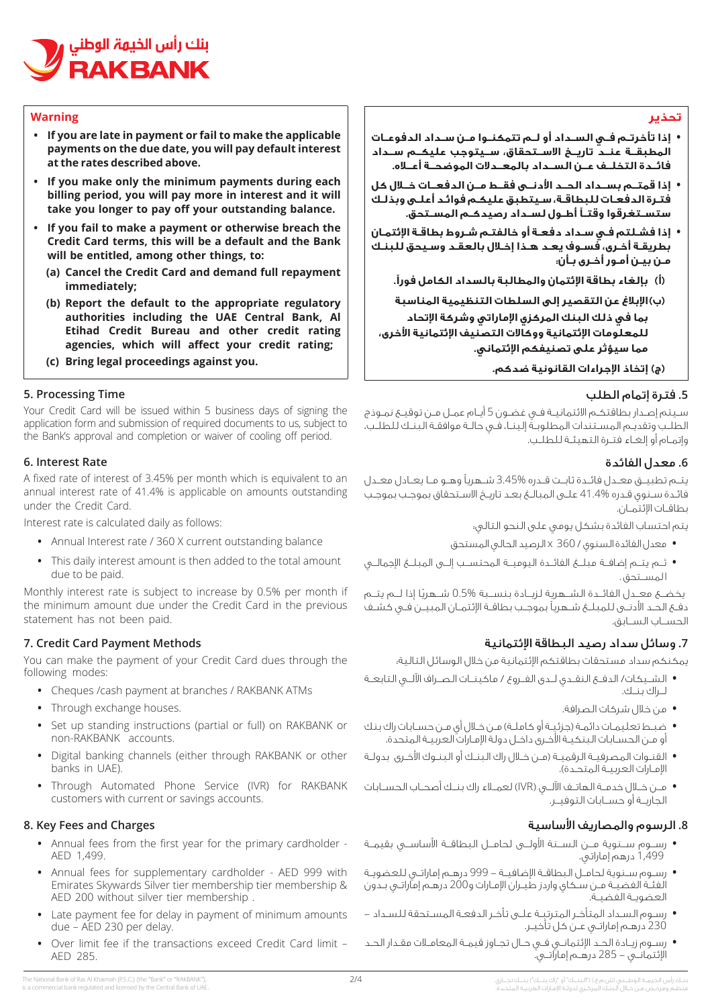

#### **Warning**

- **•** If you are late in payment or fail to make the applicable payments on the due date, you will pay default interest at the rates described above.
- **If you make only the minimum payments during each** billing period, you will pay more in interest and it will take you longer to pay off your outstanding balance.
- **If you fail to make a payment or otherwise breach the Credit Card terms, this will be a default and the Bank** will be entitled, among other things, to:
	- **(a) Cancel the Credit Card and demand full repayment ;immediately**
	- **(b) Report the default to the appropriate regulatory** authorities including the UAE Central Bank, Al **Etihad Credit Bureau and other credit rating** agencies, which will affect your credit rating;
	- **(c)** Bring legal proceedings against you.

#### **5. Processing Time**

Your Credit Card will be issued within 5 business days of signing the application form and submission of required documents to us, subject to the Bank's approval and completion or waiver of cooling off period.

#### **6.** Interest Rate

A fixed rate of interest of 3.45% per month which is equivalent to an annual interest rate of 41.4% is applicable on amounts outstanding under the Credit Card.

Interest rate is calculated daily as follows:

- Annual Interest rate / 360 X current outstanding balance
- This daily interest amount is then added to the total amount due to be paid.

Monthly interest rate is subject to increase by 0.5% per month if the minimum amount due under the Credit Card in the previous statement has not been paid.

## **7. Credit Card Payment Methods**

You can make the payment of your Credit Card dues through the following modes:

- Cheques / cash payment at branches / RAKBANK ATMs
- Through exchange houses.
- Set up standing instructions (partial or full) on RAKBANK or non-RAKBANK accounts.
- Digital banking channels (either through RAKBANK or other banks in UAE).
- Through Automated Phone Service (IVR) for RAKBANK customers with current or savings accounts.

#### **8. Key Fees and Charges**

- Annual fees from the first year for the primary cardholder -AED 1,499.
- Annual fees for supplementary cardholder AED 999 with Emirates Skywards Silver tier membership tier membership & AED 200 without silver tier membership.
- Late payment fee for delay in payment of minimum amounts due - AED 230 per delay.
- Over limit fee if the transactions exceed Credit Card limit -AED 285.

#### **تحذير**

- **• إذا تأخرتــم فــي الســداد أو لــم تتمكنــوا مــن ســداد الدفوعــات المطبقــة عنــد تاريــخ االســتحقاق، ســيتوجب عليكــم ســداد فائــدة التخلــف عــن الســداد بالمعــدالت الموضحــة أعــاه.**
- **• إذا قمتــم بســداد الحــد األدنــى فقــط مــن الدفعــات خــال كل فتـرة الدفعـات للبطاقـة، سـيتطبق عليكـم فوائـد أعلـى وبذلـك ستســتغرقوا وقتــً أطــول لســداد رصيدكــم المســتحق.**
- **• إذا فشـلتم فـي سـداد دفعـة أو خالفتـم شـروط بطاقـة اإلئتمـان بطريقـة أخـرى، فسـوف يعـد هـذا إخـال بالعقـد وسـيحق للبنـك مـن بيـن أمـور أخـرى بـأن:**
	- **(أ بإلغاء بطاقة اإلئتمان والمطالبة بالسداد الكامل فورًا.**

 **(ب)اإلبالغ عن التقصير إلى السلطات التنظيمية المناسبة بما في ذلك البنك المركزي اإلماراتي وشركة اإلتحاد للمعلومات اإلئتمانية ووكاالت التصنيف اإلئتمانية األخرى، مما سيؤثر على تصنيفكم اإلئتماني.**

 **(ج)إتخاذ اإلجراءات القانونية ضدكم.**

## **.5** فترة إتمام الطلب

سـيتم إصـدار بطاقتكـم االئتمانيـة فـي غضـون 5 أيـام عمـل مـن توقيـع نمـوذج الطلـب وتقديـم المسـتندات المطلوبـة إلينـا، فـي حالـة موافقـة البنـك للطلـب، وإتمـام أو إلغـاء فتـرة التهيئـة للطلـب.

## **.6** معدل الفائدة

يتــم تطبيــق معــدل فائــدة ثابــت قــدره 3.45% شــهريًا وهــو مــا يعــادل معــدل فائـدة سـنوي قـدره 41.4% علـى المبالـغ بعـد تاريـخ االسـتحقاق بموجـب بموجـب بطاقــات اإلئتمــان.

يتم احتساب الفائدة بشكل يومي على النحو التالي:

- **•** معدل الفائدة السنوي / 360 x الرصيد الحالي المستحق
- **•** ثــم يتــم إضافــة مبلــغ الفائــدة اليوميــة المحتســب إلــى المبلــغ اإلجمالــي ا لمســتحق .

يخضــع معـِـدل الفائــدة الشــهرية لـزيــادة بنســبة %0.5 شــهريًا إذا لــم يتــم دفــع الحــد األدنــى للمبلــغ شــهريًا بموجــب بطاقــة اإلئتمــان المبيــن فــي كشــف الحســاب الســابق.

# **.7** وسائل سداد رصيد البطاقة اإلئتمانية

يمكنكم سداد مستحقات بطاقتكم اإلئتمانية من خالل الوسائل التالية:

- **•** الشــيكات/ الدفــع النقــدي لــدى الفــروع / ماكينــات الصــراف اآللــي التابعــة لــراك بنــك.
	- **•** من خالل شركات الصرافة.
- ضبـط تعليمـات دائمـة (جزئيـة أو كاملـة) مـن خـلال أي مـن حسـابات راك بنك أو مـن الحسـابات البنكيـة األخـرى داخـل دولة اإلمـارات العربيـة المتحدة.
- **•** القنـوات المصرفيـة الرقميـة )مـن خـال راك البنـك أو البنـوك األخـرى بدولـة اإلمـارات العربيـة المتحـدة(.
- **•** مــن خــال خدمــة الهاتــف اآللــي )IVR )لعمــاء راك بنــك أصحــاب الحســابات الجاريــة أو حســابات التوفيــر.

# **.8** الرسوم والمصاريف األساسية

- **•** رســوم ســنوية مــن الســنة األولــى لحامــل البطاقــة األساســي بقيمــة 1,499 درهم إماراتي.
- **•** رسـوم سـنوية لحامـل البطاقـة اإلضافيـة 999 درهـم إماراتـي للعضويـة الفئـة الفضيـة مـن سـكاي واردز طيـران اإلمـارات و200 درهـم إماراتـي بـدون العضويـة الفضيـة.
- **•** رسـوم السـداد المتأخـر المترتبـة علـى تأخـر الدفعـة المسـتحقة للسـداد 230 درهـم إماراتـي عـن كل تأخيـر.
- **•** رسـوم زيـادة الحـد اإلئتمانـي فـي حـال تجـاوز قيمـة المعامـات مقـدار الحـد اإلئتمانــي - 285 درهــم إماراتــي.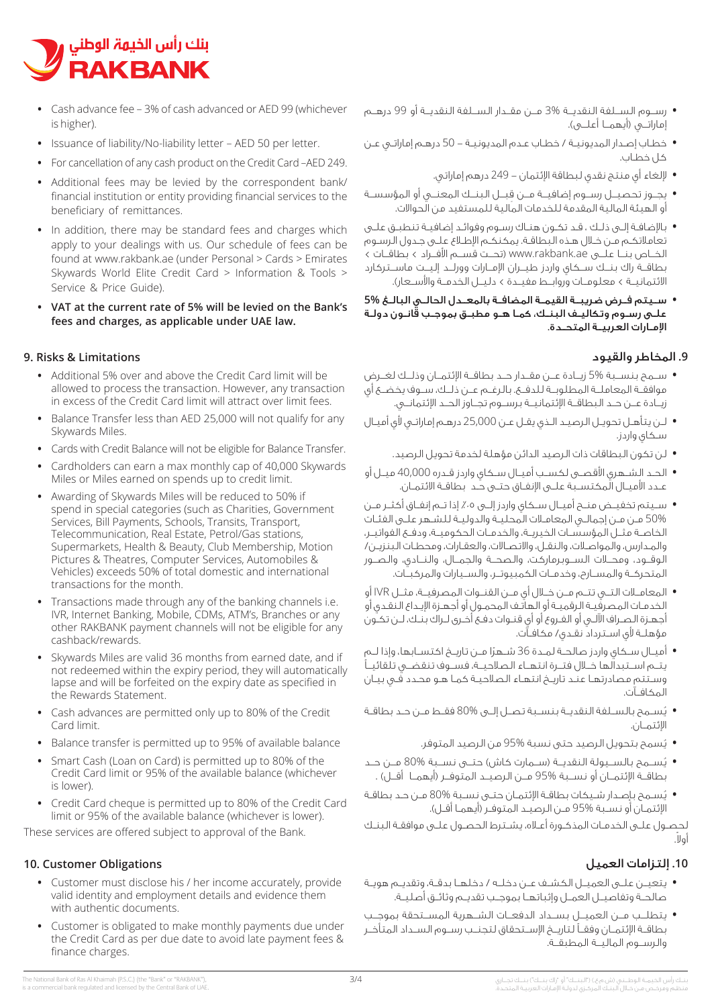

- Cash advance fee 3% of cash advanced or AED 99 (whichever is higher).
- Issuance of liability/No-liability letter AED 50 per letter.
- For cancellation of any cash product on the Credit Card -AED 249.
- Additional fees may be levied by the correspondent bank/ financial institution or entity providing financial services to the beneficiary of remittances.
- In addition, there may be standard fees and charges which apply to your dealings with us. Our schedule of fees can be found at www.rakbank.ae (under Personal > Cards > Emirates Skywards World Elite Credit Card > Information & Tools > Service & Price Guide).
- **VAT** at the current rate of 5% will be levied on the Bank's fees and charges, as applicable under UAE law.

#### **9. Risks & Limitations**

- Additional 5% over and above the Credit Card limit will be allowed to process the transaction. However, any transaction in excess of the Credit Card limit will attract over limit fees.
- Balance Transfer less than AED 25,000 will not qualify for any Skywards Miles.
- Cards with Credit Balance will not be eligible for Balance Transfer.
- Cardholders can earn a max monthly cap of 40,000 Skywards Miles or Miles earned on spends up to credit limit.
- Awarding of Skywards Miles will be reduced to 50% if spend in special categories (such as Charities, Government Services, Bill Payments, Schools, Transits, Transport, Telecommunication, Real Estate, Petrol/Gas stations, Supermarkets, Health & Beauty, Club Membership, Motion Pictures & Theatres, Computer Services, Automobiles & Vehicles) exceeds 50% of total domestic and international transactions for the month
- Transactions made through any of the banking channels i.e. IVR, Internet Banking, Mobile, CDMs, ATM's, Branches or any other RAKBANK payment channels will not be eligible for any cashback/rewards.
- Skywards Miles are valid 36 months from earned date, and if not redeemed within the expiry period, they will automatically lapse and will be forfeited on the expiry date as specified in the Rewards Statement.
- Cash advances are permitted only up to 80% of the Credit Card limit.
- **•** Balance transfer is permitted up to 95% of available balance
- Smart Cash (Loan on Card) is permitted up to 80% of the Credit Card limit or 95% of the available balance (whichever is lower).
- Credit Card cheque is permitted up to 80% of the Credit Card limit or 95% of the available balance (whichever is lower).

These services are offered subject to approval of the Bank.

#### **10. Customer Obligations**

- Customer must disclose his / her income accurately, provide valid identity and employment details and evidence them with authentic documents.
- Customer is obligated to make monthly payments due under the Credit Card as per due date to avoid late payment fees & finance charges.
- **•** رســوم الســلفة النقديــة 3% مــن مقــدار الســلفة النقديــة أو 99 درهــم إماراتــي (أيهمــا أعلــي).
- **•** خطـاب إصـدار المديونيـة / خطـاب عـدم المديونيـة 50 درهـم إماراتـي عـن كل خطـاب.
	- **•** إللغاء أي منتج نقدي لبطاقة اإلئتمان 249 درهم إماراتي.
- **•** ِ يجــوز تحصيــل رســوم إضافيــة مــن قبــل البنــك المعنــي أو المؤسســة أو الهيئة المالية المقدمة للخدمات المالية للمستفيد من الحواالت.
- **•** باإلضافـة إلـى ذلـك ، قـد تكـون هنـاك رسـوم وفوائـد إضافيـة تنطبـق علـى تعامالتكـم مـن خـال هـذه البطاقـة. يمكنكـم اإلطـاع علـى جـدول الرسـوم الخــاص بنــا علــى ae.rakbank.www( تحــت قســم األفــراد < بطاقــات < بطاقــة راك بنــك ســكاي واردز طيــران اإلمــارات وورلــد إليــت ماســتركارد الائتمانيــة > معلومــات وروابــط مفيــدة > دليــل الخدمــة والأســعار).
- **•** ســيتم فــرض ضريبــة القيمــة المضافــة بالمعــدل الحالــي البالــغ **5%** علـى رسـوم وتكاليـف البنـك، كمـا هـو مطبـق بموجـب قانـون دولـة اإلمــارات العربيــة المتحــدة.

# **.9** المخاطر والقيود

- **•** ســمح بنســبة 5% زيــادة عــن مقــدار حــد بطاقــة اإلئتمــان وذلــك لغــرض موافقــة المعاملــة المطلوبــة للدفــع. بالرغــم عــن ذلــك، ســوف يخضــع أي زيــادة عــن حــد البطاقــة اإلئتمانيــة برســوم تجــاوز الحــد اإلئتمانــي.
- **•** لـن يتأهـل تحويـل الرصيـد الـذي يقـل عـن 25,000 درهـم إماراتـي ألي أميـال سـكاي واردز.
	- **•** لن تكون البطاقات ذات الرصيد الدائن مؤهلة لخدمة تحويل الرصيد.
- **•** الحــد الشــهري األقصــى لكســب أميــال ســكاي واردز قــدره 40,000 ميــل أو عـدد الأمــال المكتسـبة علــى الإنفـاق حتــى حـد بطاقـة الائتمـان.
- **•** ســيتم تخفيــض منــح أميــال ســكاي واردز إلــى ٪05 إذا تــم إنفــاق أكثــر مــن 50% مـن مـن إجمالـي المعامـات المحليـة والدوليـة للشـهر علـى الفئـات الخاصــة مثــل المؤسســات الخيريــة، والخدمــات الحكوميــة، ودفــع الفواتيــر، والمـدارس، والمواصـات، والنقـل، واالتصـاالت، والعقـارات، ومحطـات البنزيـن/ الوقــود، ومحــات الســوبرماركت، والصحــة والجمــال، والنــادي، والصــور المتحركــة والمســارح، وخدمــات الكمبيوتــر، والســيارات والمركبــات.
- **•** المعامــات التــي تتــم مــن خــال أي مــن القنــوات المصرفيــة، مثــل IVR أو الخدمـات المصرفيـة الرقميـة أو الهاتـف المحمـول أو أجهـزة اإليـداع النقـدي أو أجهـزة الصـراف اآللـي أو الفـروع أو أي قنـوات دفـع أخـرى لـراك بنـك، لـن تكـون مؤهلـة ألي اسـترداد نقـدي/ مكافـآت.
- **•** أميــال ســكاي واردز صالحــة لمــدة 36 ً شــهرا مــن تاريــخ اكتســابها، وإذا لــم يتــم اســتبدالها خــال فتــرة انتهــاء الصالحيــة، فســوف تنقضــي تلقائيــً وسـتتم مصادرتهـا عنـد تاريـخ انتهـاء الصالحيـة كمـا هـو محـدد فـي بيـان المكافــآت.
- **•** ُيســمح بالســلفة النقديــة بنســبة تصــل إلــى 80% فقــط مــن حــد بطاقــة اإلئتمــان.
	- **•** ُيسمح بتحويل الرصيد حتى نسبة 95% من الرصيد المتوفر.
- **•** ُيســمح بالســيولة النقديــة )ســمارت كاش( حتــى نســبة 80% مــن حــد بطاقــة الإئتمــان أو نـســبة %95 مــن الـرصيــد المتوفــر (أيهمــا أقــل) .
- **•** ُيسـمح بإصـدار شـيكات بطاقـة اإلئتمـان حتـى نسـبة 80% مـن حـد بطاقـة الإئتمـان أو نسـبة %95 مـن الرصيـد المتوفـر (أيهمـا أقـل).

لحصـول علـى الخدمـات المذكـورة أعـاه، يشـترط الحصـول علـى موافقـة البنـك .ً أوال

# **.10** إلتزامات العميل

- **•** يتعيــن علــى العميــل الكشــف عــن دخلــه / دخلهــا بدقــة، وتقديــم هويــة صالحــة وتفاصيــل العمــل وإثباتهــا بموجــب تقديــم وثائــق أصليــة.
- **•** يتطلــب مــن العميــل بســداد الدفعــات الشــهرية المســتحقة بموجــب بطاقــة اإلئتمــان وفقــً لتاريــخ اإلســتحقاق لتجنــب رســوم الســداد المتأخــر والرســوم الماليــة المطبقــة.